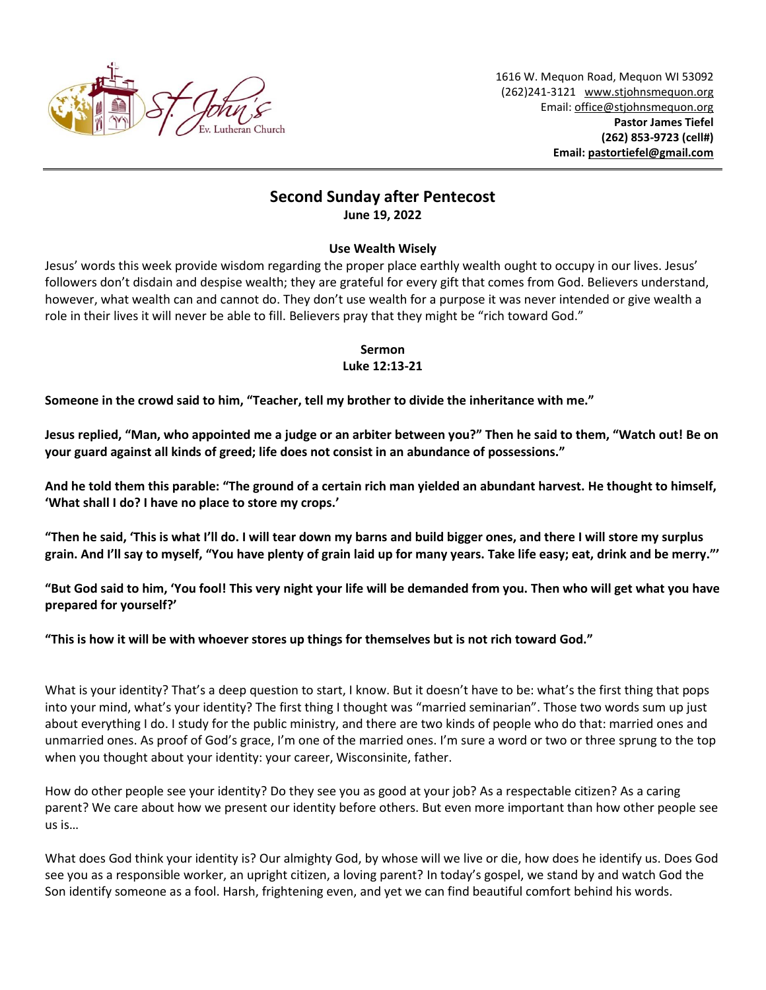

# **Second Sunday after Pentecost June 19, 2022**

## **Use Wealth Wisely**

Jesus' words this week provide wisdom regarding the proper place earthly wealth ought to occupy in our lives. Jesus' followers don't disdain and despise wealth; they are grateful for every gift that comes from God. Believers understand, however, what wealth can and cannot do. They don't use wealth for a purpose it was never intended or give wealth a role in their lives it will never be able to fill. Believers pray that they might be "rich toward God."

## **Sermon Luke 12:13-21**

**Someone in the crowd said to him, "Teacher, tell my brother to divide the inheritance with me."**

**Jesus replied, "Man, who appointed me a judge or an arbiter between you?" Then he said to them, "Watch out! Be on your guard against all kinds of greed; life does not consist in an abundance of possessions."**

**And he told them this parable: "The ground of a certain rich man yielded an abundant harvest. He thought to himself, 'What shall I do? I have no place to store my crops.'**

**"Then he said, 'This is what I'll do. I will tear down my barns and build bigger ones, and there I will store my surplus grain. And I'll say to myself, "You have plenty of grain laid up for many years. Take life easy; eat, drink and be merry."'**

**"But God said to him, 'You fool! This very night your life will be demanded from you. Then who will get what you have prepared for yourself?'**

**"This is how it will be with whoever stores up things for themselves but is not rich toward God."**

What is your identity? That's a deep question to start, I know. But it doesn't have to be: what's the first thing that pops into your mind, what's your identity? The first thing I thought was "married seminarian". Those two words sum up just about everything I do. I study for the public ministry, and there are two kinds of people who do that: married ones and unmarried ones. As proof of God's grace, I'm one of the married ones. I'm sure a word or two or three sprung to the top when you thought about your identity: your career, Wisconsinite, father.

How do other people see your identity? Do they see you as good at your job? As a respectable citizen? As a caring parent? We care about how we present our identity before others. But even more important than how other people see us is…

What does God think your identity is? Our almighty God, by whose will we live or die, how does he identify us. Does God see you as a responsible worker, an upright citizen, a loving parent? In today's gospel, we stand by and watch God the Son identify someone as a fool. Harsh, frightening even, and yet we can find beautiful comfort behind his words.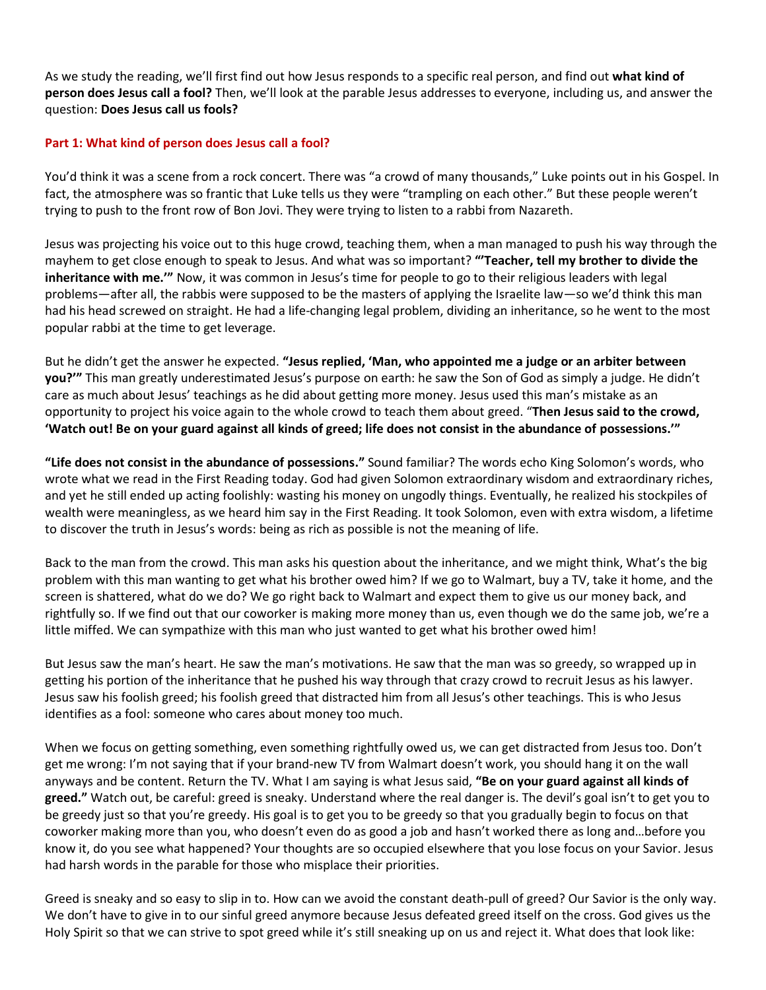As we study the reading, we'll first find out how Jesus responds to a specific real person, and find out **what kind of person does Jesus call a fool?** Then, we'll look at the parable Jesus addresses to everyone, including us, and answer the question: **Does Jesus call us fools?**

#### **Part 1: What kind of person does Jesus call a fool?**

You'd think it was a scene from a rock concert. There was "a crowd of many thousands," Luke points out in his Gospel. In fact, the atmosphere was so frantic that Luke tells us they were "trampling on each other." But these people weren't trying to push to the front row of Bon Jovi. They were trying to listen to a rabbi from Nazareth.

Jesus was projecting his voice out to this huge crowd, teaching them, when a man managed to push his way through the mayhem to get close enough to speak to Jesus. And what was so important? **"'Teacher, tell my brother to divide the inheritance with me.'"** Now, it was common in Jesus's time for people to go to their religious leaders with legal problems—after all, the rabbis were supposed to be the masters of applying the Israelite law—so we'd think this man had his head screwed on straight. He had a life-changing legal problem, dividing an inheritance, so he went to the most popular rabbi at the time to get leverage.

But he didn't get the answer he expected. **"Jesus replied, 'Man, who appointed me a judge or an arbiter between you?'"** This man greatly underestimated Jesus's purpose on earth: he saw the Son of God as simply a judge. He didn't care as much about Jesus' teachings as he did about getting more money. Jesus used this man's mistake as an opportunity to project his voice again to the whole crowd to teach them about greed. "**Then Jesus said to the crowd, 'Watch out! Be on your guard against all kinds of greed; life does not consist in the abundance of possessions.'"**

**"Life does not consist in the abundance of possessions."** Sound familiar? The words echo King Solomon's words, who wrote what we read in the First Reading today. God had given Solomon extraordinary wisdom and extraordinary riches, and yet he still ended up acting foolishly: wasting his money on ungodly things. Eventually, he realized his stockpiles of wealth were meaningless, as we heard him say in the First Reading. It took Solomon, even with extra wisdom, a lifetime to discover the truth in Jesus's words: being as rich as possible is not the meaning of life.

Back to the man from the crowd. This man asks his question about the inheritance, and we might think, What's the big problem with this man wanting to get what his brother owed him? If we go to Walmart, buy a TV, take it home, and the screen is shattered, what do we do? We go right back to Walmart and expect them to give us our money back, and rightfully so. If we find out that our coworker is making more money than us, even though we do the same job, we're a little miffed. We can sympathize with this man who just wanted to get what his brother owed him!

But Jesus saw the man's heart. He saw the man's motivations. He saw that the man was so greedy, so wrapped up in getting his portion of the inheritance that he pushed his way through that crazy crowd to recruit Jesus as his lawyer. Jesus saw his foolish greed; his foolish greed that distracted him from all Jesus's other teachings. This is who Jesus identifies as a fool: someone who cares about money too much.

When we focus on getting something, even something rightfully owed us, we can get distracted from Jesus too. Don't get me wrong: I'm not saying that if your brand-new TV from Walmart doesn't work, you should hang it on the wall anyways and be content. Return the TV. What I am saying is what Jesus said, **"Be on your guard against all kinds of greed."** Watch out, be careful: greed is sneaky. Understand where the real danger is. The devil's goal isn't to get you to be greedy just so that you're greedy. His goal is to get you to be greedy so that you gradually begin to focus on that coworker making more than you, who doesn't even do as good a job and hasn't worked there as long and…before you know it, do you see what happened? Your thoughts are so occupied elsewhere that you lose focus on your Savior. Jesus had harsh words in the parable for those who misplace their priorities.

Greed is sneaky and so easy to slip in to. How can we avoid the constant death-pull of greed? Our Savior is the only way. We don't have to give in to our sinful greed anymore because Jesus defeated greed itself on the cross. God gives us the Holy Spirit so that we can strive to spot greed while it's still sneaking up on us and reject it. What does that look like: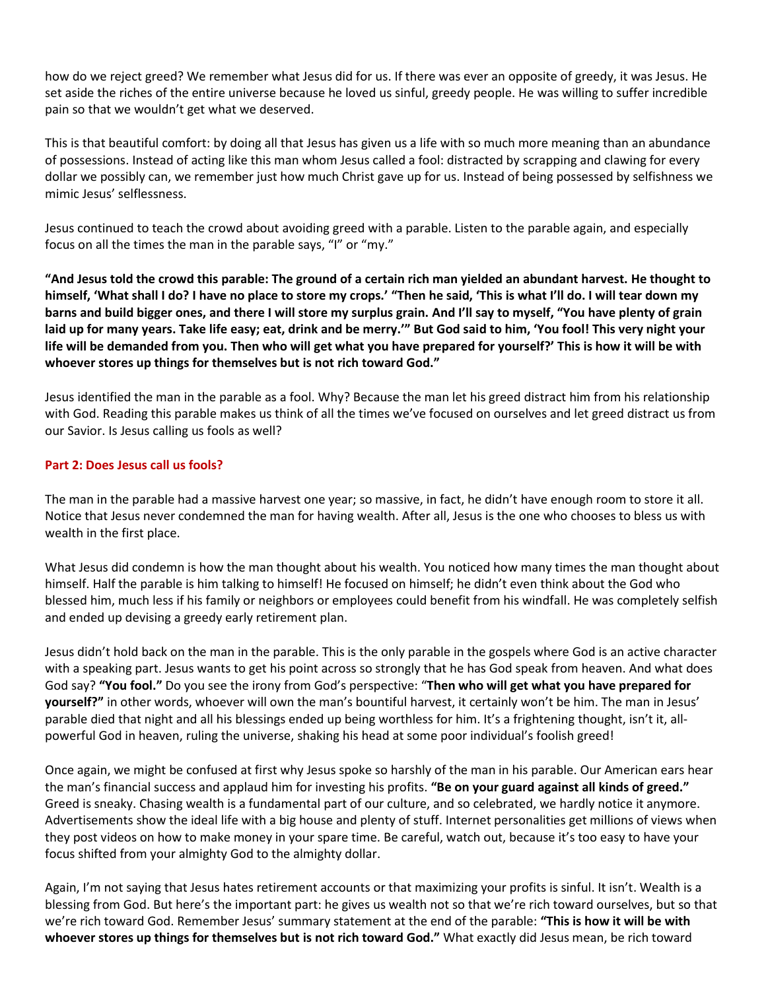how do we reject greed? We remember what Jesus did for us. If there was ever an opposite of greedy, it was Jesus. He set aside the riches of the entire universe because he loved us sinful, greedy people. He was willing to suffer incredible pain so that we wouldn't get what we deserved.

This is that beautiful comfort: by doing all that Jesus has given us a life with so much more meaning than an abundance of possessions. Instead of acting like this man whom Jesus called a fool: distracted by scrapping and clawing for every dollar we possibly can, we remember just how much Christ gave up for us. Instead of being possessed by selfishness we mimic Jesus' selflessness.

Jesus continued to teach the crowd about avoiding greed with a parable. Listen to the parable again, and especially focus on all the times the man in the parable says, "I" or "my."

**"And Jesus told the crowd this parable: The ground of a certain rich man yielded an abundant harvest. He thought to himself, 'What shall I do? I have no place to store my crops.' "Then he said, 'This is what I'll do. I will tear down my barns and build bigger ones, and there I will store my surplus grain. And I'll say to myself, "You have plenty of grain laid up for many years. Take life easy; eat, drink and be merry.'" But God said to him, 'You fool! This very night your life will be demanded from you. Then who will get what you have prepared for yourself?' This is how it will be with whoever stores up things for themselves but is not rich toward God."** 

Jesus identified the man in the parable as a fool. Why? Because the man let his greed distract him from his relationship with God. Reading this parable makes us think of all the times we've focused on ourselves and let greed distract us from our Savior. Is Jesus calling us fools as well?

#### **Part 2: Does Jesus call us fools?**

The man in the parable had a massive harvest one year; so massive, in fact, he didn't have enough room to store it all. Notice that Jesus never condemned the man for having wealth. After all, Jesus is the one who chooses to bless us with wealth in the first place.

What Jesus did condemn is how the man thought about his wealth. You noticed how many times the man thought about himself. Half the parable is him talking to himself! He focused on himself; he didn't even think about the God who blessed him, much less if his family or neighbors or employees could benefit from his windfall. He was completely selfish and ended up devising a greedy early retirement plan.

Jesus didn't hold back on the man in the parable. This is the only parable in the gospels where God is an active character with a speaking part. Jesus wants to get his point across so strongly that he has God speak from heaven. And what does God say? **"You fool."** Do you see the irony from God's perspective: "**Then who will get what you have prepared for yourself?"** in other words, whoever will own the man's bountiful harvest, it certainly won't be him. The man in Jesus' parable died that night and all his blessings ended up being worthless for him. It's a frightening thought, isn't it, allpowerful God in heaven, ruling the universe, shaking his head at some poor individual's foolish greed!

Once again, we might be confused at first why Jesus spoke so harshly of the man in his parable. Our American ears hear the man's financial success and applaud him for investing his profits. **"Be on your guard against all kinds of greed."**  Greed is sneaky. Chasing wealth is a fundamental part of our culture, and so celebrated, we hardly notice it anymore. Advertisements show the ideal life with a big house and plenty of stuff. Internet personalities get millions of views when they post videos on how to make money in your spare time. Be careful, watch out, because it's too easy to have your focus shifted from your almighty God to the almighty dollar.

Again, I'm not saying that Jesus hates retirement accounts or that maximizing your profits is sinful. It isn't. Wealth is a blessing from God. But here's the important part: he gives us wealth not so that we're rich toward ourselves, but so that we're rich toward God. Remember Jesus' summary statement at the end of the parable: **"This is how it will be with whoever stores up things for themselves but is not rich toward God."** What exactly did Jesus mean, be rich toward